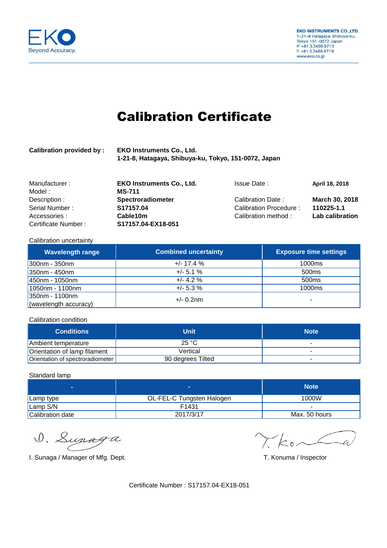

# Calibration Certificate

| <b>Calibration provided by:</b> | <b>EKO Instruments Co., Ltd.</b>                     |
|---------------------------------|------------------------------------------------------|
|                                 | 1-21-8, Hatagaya, Shibuya-ku, Tokyo, 151-0072, Japan |

| Manufacturer:       | <b>EKO Instruments Co., Ltd.</b> | <b>Issue Date:</b>      | April 18, 2018         |
|---------------------|----------------------------------|-------------------------|------------------------|
| Model :             | MS-711                           |                         |                        |
| Description :       | <b>Spectroradiometer</b>         | Calibration Date:       | March 30, 2018         |
| Serial Number:      | S17157.04                        | Calibration Procedure : | 110225-1.1             |
| Accessories:        | Cable10m                         | Calibration method:     | <b>Lab calibration</b> |
| Certificate Number: | S17157.04-EX18-051               |                         |                        |

#### Calibration uncertainty

| <b>Wavelength range</b> | <b>Combined uncertainty</b> | <b>Exposure time settings</b> |
|-------------------------|-----------------------------|-------------------------------|
| 300nm - 350nm           | $+/- 17.4%$                 | 1000 <sub>ms</sub>            |
| 350nm - 450nm           | $+/- 5.1 \%$                | 500 <sub>ms</sub>             |
| 450nm - 1050nm          | $+/- 4.2 \%$                | 500 <sub>ms</sub>             |
| 1050nm - 1100nm         | $+/- 5.3 \%$                | 1000 <sub>ms</sub>            |
| 350nm - 1100nm          | $+/- 0.2$ nm                | ۰                             |
| (wavelength accuracy)   |                             |                               |

Calibration condition

| <b>Conditions</b>                | Unit              | <b>Note</b> |
|----------------------------------|-------------------|-------------|
| Ambient temperature              | 25 °C             |             |
| Orientation of lamp filament     | Vertical          | -           |
| Orientation of spectroradiometer | 90 degrees Tilted | ٠           |

### Standard lamp

|                  |                           | <b>Note</b>   |
|------------------|---------------------------|---------------|
| Lamp type        | OL-FEL-C Tungsten Halogen | 1000W         |
| Lamp S/N         | F1431                     | -             |
| Calibration date | 2017/3/17                 | Max. 50 hours |

D. Lupaga

I. Sunaga / Manager of Mfg. Dept. **T. Sunaga / Manager of Mfg. Dept.** T. Konuma / Inspector

 $\gamma$  kor

Certificate Number : S17157.04-EX18-051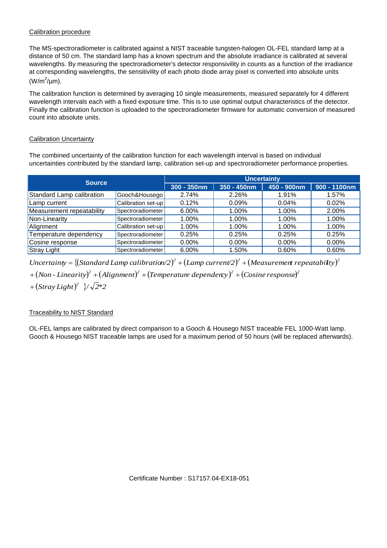### Calibration procedure

The MS-spectroradiometer is calibrated against a NIST traceable tungsten-halogen OL-FEL standard lamp at a distance of 50 cm. The standard lamp has a known spectrum and the absolute irradiance is calibrated at several wavelengths. By measuring the spectroradiometer's detector responsivility in counts as a function of the irradiance at corresponding wavelengths, the sensitivility of each photo diode array pixel is converted into absolute units  $(W/m^2/\mu m)$ .

The calibration function is determined by averaging 10 single measurements, measured separately for 4 different wavelength intervals each with a fixed exposure time. This is to use optimal output characteristics of the detector. Finally the calibration function is uploaded to the spectroradiometer firmware for automatic conversion of measured count into absolute units.

## Calibration Uncertainty

The combined uncertainty of the calibration function for each wavelength interval is based on individual uncertainties contributed by the standard lamp, calibration set-up and spectroradiometer performance properties.

| <b>Source</b>             |                    | <b>Uncertainty</b> |                |             |                 |
|---------------------------|--------------------|--------------------|----------------|-------------|-----------------|
|                           |                    | $300 - 350$ nm     | $350 - 450$ nm | 450 - 900nm | $900 - 1100$ nm |
| Standard Lamp calibration | Gooch&Housego      | 2.74%              | 2.26%          | 1.91%       | 1.57%           |
| 'Lamp current             | Calibration set-up | 0.12%              | 0.09%          | 0.04%       | 0.02%           |
| Measurement repeatability | Spectroradiometer  | 6.00%              | 1.00%          | 1.00%       | 2.00%           |
| Non-Linearity             | Spectroradiometer  | 1.00%              | 1.00%          | 1.00%       | 1.00%           |
| Alignment                 | Calibration set-up | 1.00%              | 1.00%          | 1.00%       | 1.00%           |
| Temperature dependency    | Spectroradiometer  | 0.25%              | 0.25%          | 0.25%       | 0.25%           |
| Cosine response           | Spectroradiometer  | $0.00\%$           | $0.00\%$       | $0.00\%$    | $0.00\%$        |
| <b>Stray Light</b>        | Spectroradiometer  | 6.00%              | 1.50%          | 0.60%       | 0.60%           |

Uncertainty = { $(St andard Lamp calibration/2)^2 + (Lamp current/2)^2 + (Measurable')^2$  $+$   $\left($  Non - Linearity) $^2$   $+$   $\left($  Alignment) $^2$   $+$   $\left($  Temperature dependency) $^2$   $+$   $\left($  Cosine response) $^2$ 

 $+(Stray Light)^2$   $\sqrt{2}$ \*2

## Traceability to NIST Standard

OL-FEL lamps are calibrated by direct comparison to a Gooch & Housego NIST traceable FEL 1000-Watt lamp. Gooch & Housego NIST traceable lamps are used for a maximum period of 50 hours (will be replaced afterwards).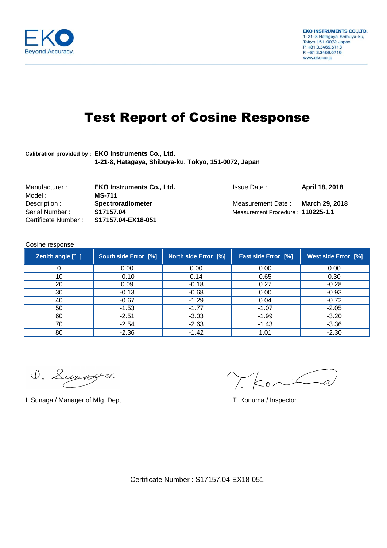

# Test Report of Cosine Response

# **Calibration provided by : EKO Instruments Co., Ltd. 1-21-8, Hatagaya, Shibuya-ku, Tokyo, 151-0072, Japan**

| Manufacturer :      | <b>EKO Instruments Co., Ltd.</b> | Issue Date:                       | April 18, 2018 |
|---------------------|----------------------------------|-----------------------------------|----------------|
| Model :             | <b>MS-711</b>                    |                                   |                |
| Description :       | <b>Spectroradiometer</b>         | Measurement Date:                 | March 29. 2018 |
| Serial Number:      | S17157.04                        | Measurement Procedure: 110225-1.1 |                |
| Certificate Number: | S17157.04-EX18-051               |                                   |                |

#### Cosine response

| Zenith angle [° ] | South side Error [%] | North side Error [%] | East side Error [%] | <b>West side Error [%]</b> |
|-------------------|----------------------|----------------------|---------------------|----------------------------|
|                   | 0.00                 | 0.00                 | 0.00                | 0.00                       |
| 10                | $-0.10$              | 0.14                 | 0.65                | 0.30                       |
| 20                | 0.09                 | $-0.18$              | 0.27                | $-0.28$                    |
| 30                | $-0.13$              | $-0.68$              | 0.00                | $-0.93$                    |
| 40                | $-0.67$              | $-1.29$              | 0.04                | $-0.72$                    |
| 50                | $-1.53$              | $-1.77$              | $-1.07$             | $-2.05$                    |
| 60                | $-2.51$              | $-3.03$              | $-1.99$             | $-3.20$                    |
| 70                | $-2.54$              | $-2.63$              | $-1.43$             | $-3.36$                    |
| 80                | $-2.36$              | $-1.42$              | 1.01                | $-2.30$                    |

D. Lupaga

I. Sunaga / Manager of Mfg. Dept. T. Sunaga / Inspector

 $\gamma$  kor

Certificate Number : S17157.04-EX18-051